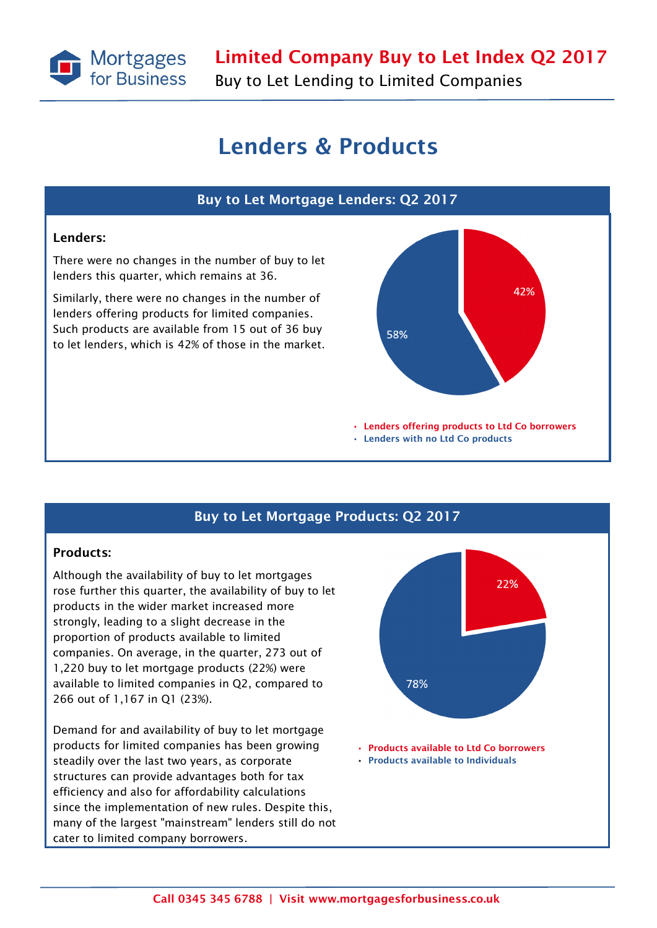

Buy to Let Lending to Limited Companies

## Lenders & Products



### Buy to Let Mortgage Products: Q2 2017

#### Products:

Although the availability of buy to let mortgages rose further this quarter, the availability of buy to let products in the wider market increased more strongly, leading to a slight decrease in the proportion of products available to limited companies. On average, in the quarter, 273 out of 1,220 buy to let mortgage products (22%) were available to limited companies in Q2, compared to 266 out of 1,167 in Q1 (23%).

Demand for and availability of buy to let mortgage products for limited companies has been growing steadily over the last two years, as corporate structures can provide advantages both for tax efficiency and also for affordability calculations since the implementation of new rules. Despite this, many of the largest "mainstream" lenders still do not cater to limited company borrowers.

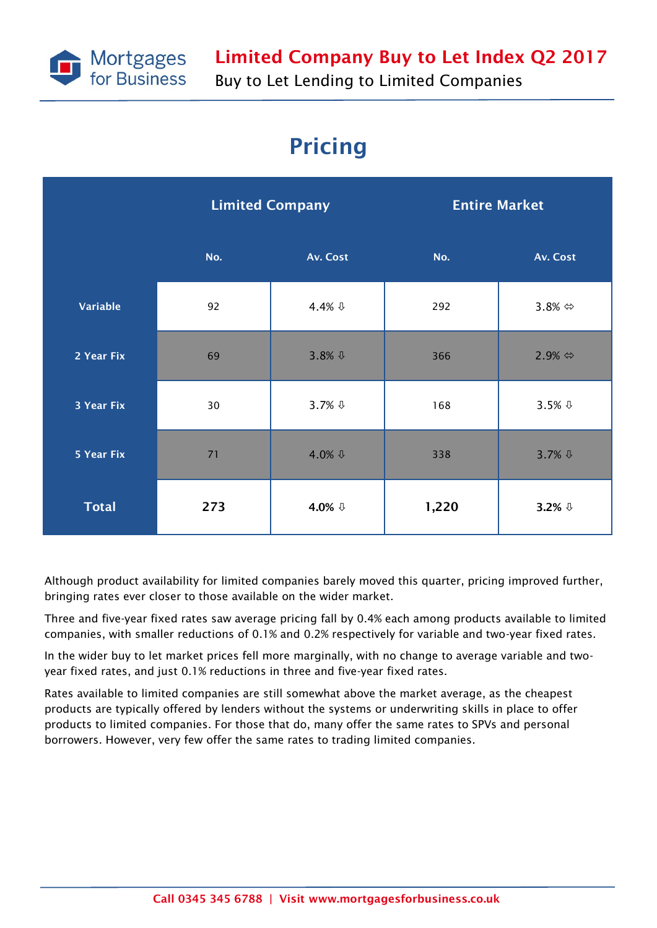

# Pricing

|              | <b>Limited Company</b> |                     | <b>Entire Market</b> |                         |
|--------------|------------------------|---------------------|----------------------|-------------------------|
|              | No.                    | Av. Cost            | No.                  | Av. Cost                |
| Variable     | 92                     | 4.4% $\sqrt{1}$     | 292                  | 3.8% $\Leftrightarrow$  |
| 2 Year Fix   | 69                     | $3.8%$ $\downarrow$ | 366                  | $2.9\% \Leftrightarrow$ |
| 3 Year Fix   | 30                     | $3.7%$ $\downarrow$ | 168                  | $3.5%$ $\sqrt{0}$       |
| 5 Year Fix   | 71                     | 4.0% $\sqrt{1}$     | 338                  | 3.7% \$                 |
| <b>Total</b> | 273                    | 4.0% ↓              | 1,220                | 3.2% $\sqrt{1}$         |

Although product availability for limited companies barely moved this quarter, pricing improved further, bringing rates ever closer to those available on the wider market.

Three and five-year fixed rates saw average pricing fall by 0.4% each among products available to limited companies, with smaller reductions of 0.1% and 0.2% respectively for variable and two-year fixed rates.

In the wider buy to let market prices fell more marginally, with no change to average variable and twoyear fixed rates, and just 0.1% reductions in three and five-year fixed rates.

Rates available to limited companies are still somewhat above the market average, as the cheapest products are typically offered by lenders without the systems or underwriting skills in place to offer products to limited companies. For those that do, many offer the same rates to SPVs and personal borrowers. However, very few offer the same rates to trading limited companies.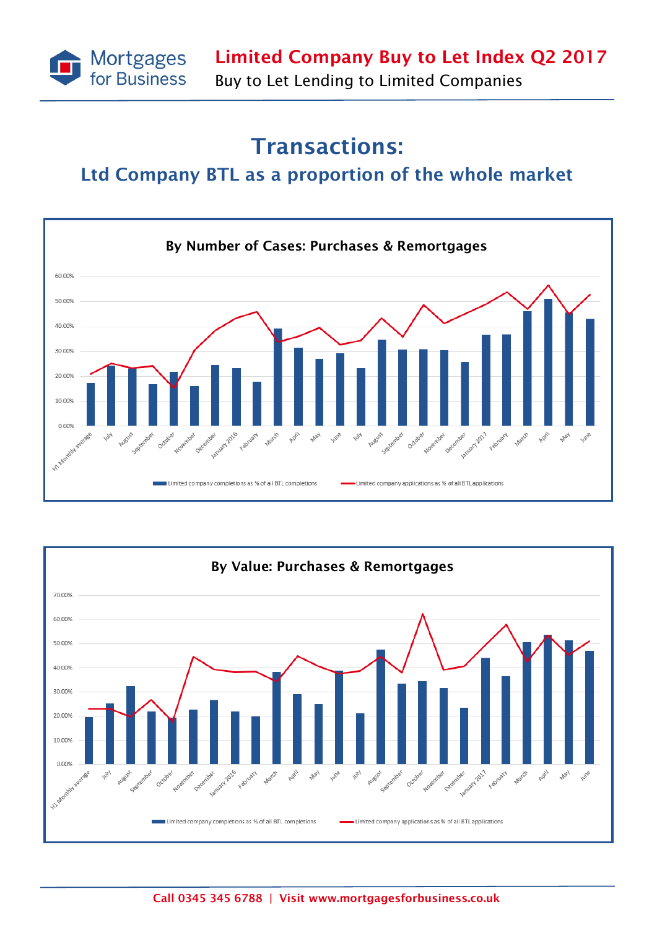

# Transactions:

### Ltd Company BTL as a proportion of the whole market